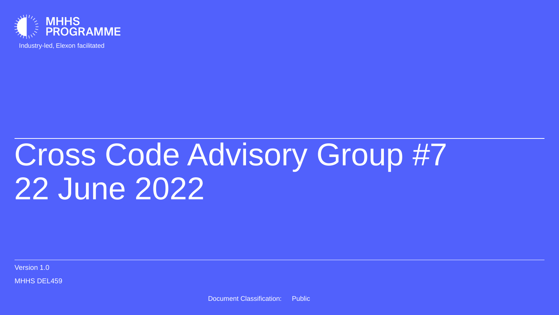

Industry-led, Elexon facilitated

# Cross Code Advisory Group #7 22 June 2022

Version 1.0

**MHHS DEL459**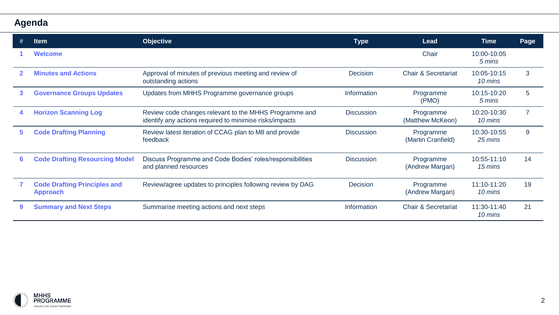## **Agenda**

|    | ltem                                                   | <b>Objective</b>                                                                                                  | <b>Type</b>       | Lead                            | <b>Time</b>            | Page |
|----|--------------------------------------------------------|-------------------------------------------------------------------------------------------------------------------|-------------------|---------------------------------|------------------------|------|
|    | <b>Welcome</b>                                         |                                                                                                                   |                   | Chair                           | 10:00-10:05<br>5 mins  |      |
|    | <b>Minutes and Actions</b>                             | Approval of minutes of previous meeting and review of<br>outstanding actions                                      | <b>Decision</b>   | <b>Chair &amp; Secretariat</b>  | 10:05-10:15<br>10 mins | 3    |
| 3. | <b>Governance Groups Updates</b>                       | Updates from MHHS Programme governance groups                                                                     | Information       | Programme<br>(PMO)              | 10:15-10:20<br>5 mins  | 5    |
| 4  | <b>Horizon Scanning Log</b>                            | Review code changes relevant to the MHHS Programme and<br>identify any actions required to minimise risks/impacts | <b>Discussion</b> | Programme<br>(Matthew McKeon)   | 10:20-10:30<br>10 mins |      |
| 5. | <b>Code Drafting Planning</b>                          | Review latest iteration of CCAG plan to M8 and provide<br>feedback                                                | <b>Discussion</b> | Programme<br>(Martin Cranfield) | 10:30-10:55<br>25 mins | 9    |
| 6  | <b>Code Drafting Resourcing Model</b>                  | Discuss Programme and Code Bodies' roles/responsibilities<br>and planned resources                                | <b>Discussion</b> | Programme<br>(Andrew Margan)    | 10:55-11:10<br>15 mins | 14   |
|    | <b>Code Drafting Principles and</b><br><b>Approach</b> | Review/agree updates to principles following review by DAG                                                        | <b>Decision</b>   | Programme<br>(Andrew Margan)    | 11:10-11:20<br>10 mins | 19   |
| 9  | <b>Summary and Next Steps</b>                          | Summarise meeting actions and next steps                                                                          | Information       | <b>Chair &amp; Secretariat</b>  | 11:30-11:40<br>10 mins | 21   |

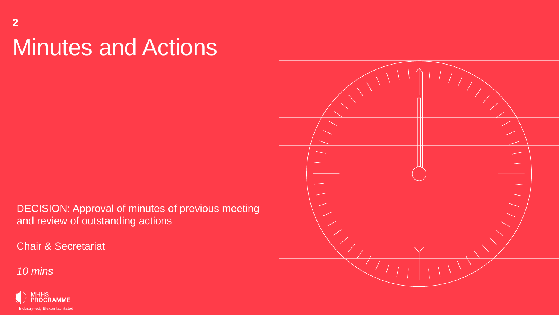# Minutes and Actions

DECISION: Approval of minutes of previous meeting and review of outstanding actions

Chair & Secretariat



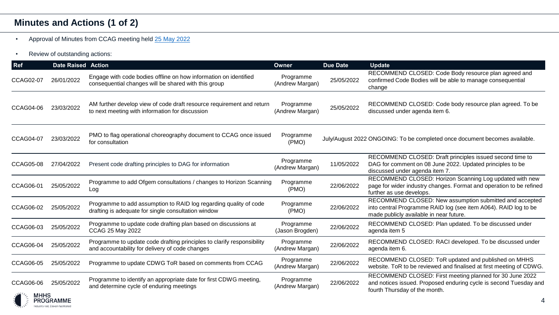### **Minutes and Actions (1 of 2)**

- Approval of Minutes from CCAG meeting held [25 May 2022](https://mhhsprogramme-production-cdn.s3.eu-west-2.amazonaws.com/wp-content/uploads/2022/06/01101248/MHHS-DEL422-CCAG-25-May-2022-Minutes-and-Actions-v1.0.pdf)
- Review of outstanding actions:

| Ref              | <b>Date Raised Action</b>                   |                                                                                                                           | <b>Owner</b>                 | <b>Due Date</b> | <b>Update</b>                                                                                                                                                         |
|------------------|---------------------------------------------|---------------------------------------------------------------------------------------------------------------------------|------------------------------|-----------------|-----------------------------------------------------------------------------------------------------------------------------------------------------------------------|
| CCAG02-07        | 26/01/2022                                  | Engage with code bodies offline on how information on identified<br>consequential changes will be shared with this group  | Programme<br>(Andrew Margan) | 25/05/2022      | RECOMMEND CLOSED: Code Body resource plan agreed and<br>confirmed Code Bodies will be able to manage consequential<br>change                                          |
| CCAG04-06        | 23/03/2022                                  | AM further develop view of code draft resource requirement and return<br>to next meeting with information for discussion  | Programme<br>(Andrew Margan) | 25/05/2022      | RECOMMEND CLOSED: Code body resource plan agreed. To be<br>discussed under agenda item 6.                                                                             |
| <b>CCAG04-07</b> | 23/03/2022                                  | PMO to flag operational choreography document to CCAG once issued<br>for consultation                                     | Programme<br>(PMO)           |                 | July/August 2022 ONGOING: To be completed once document becomes available.                                                                                            |
| CCAG05-08        | 27/04/2022                                  | Present code drafting principles to DAG for information                                                                   | Programme<br>(Andrew Margan) | 11/05/2022      | RECOMMEND CLOSED: Draft principles issued second time to<br>DAG for comment on 08 June 2022. Updated principles to be<br>discussed under agenda item 7.               |
| CCAG06-01        | 25/05/2022                                  | Programme to add Ofgem consultations / changes to Horizon Scanning<br>Log                                                 | Programme<br>(PMO)           | 22/06/2022      | RECOMMEND CLOSED: Horizon Scanning Log updated with new<br>page for wider industry changes. Format and operation to be refined<br>further as use develops.            |
| CCAG06-02        | 25/05/2022                                  | Programme to add assumption to RAID log regarding quality of code<br>drafting is adequate for single consultation window  | Programme<br>(PMO)           | 22/06/2022      | RECOMMEND CLOSED: New assumption submitted and accepted<br>into central Programme RAID log (see item A064). RAID log to be<br>made publicly available in near future. |
| CCAG06-03        | 25/05/2022                                  | Programme to update code drafting plan based on discussions at<br>CCAG 25 May 2022                                        | Programme<br>(Jason Brogden) | 22/06/2022      | RECOMMEND CLOSED: Plan updated. To be discussed under<br>agenda item 5                                                                                                |
| <b>CCAG06-04</b> | 25/05/2022                                  | Programme to update code drafting principles to clarify responsibility<br>and accountability for delivery of code changes | Programme<br>(Andrew Margan) | 22/06/2022      | RECOMMEND CLOSED: RACI developed. To be discussed under<br>agenda item 6.                                                                                             |
| CCAG06-05        | 25/05/2022                                  | Programme to update CDWG ToR based on comments from CCAG                                                                  | Programme<br>(Andrew Margan) | 22/06/2022      | RECOMMEND CLOSED: ToR updated and published on MHHS<br>website. ToR to be reviewed and finalised at first meeting of CDWG.                                            |
| CCAG06-06        | 25/05/2022                                  | Programme to identify an appropriate date for first CDWG meeting,<br>and determine cycle of enduring meetings             | Programme<br>(Andrew Margan) | 22/06/2022      | RECOMMEND CLOSED: First meeting planned for 30 June 2022<br>and notices issued. Proposed enduring cycle is second Tuesday and<br>fourth Thursday of the month.        |
|                  | PROGRAMME<br>ndustry-led. Flexon facilitate |                                                                                                                           |                              |                 |                                                                                                                                                                       |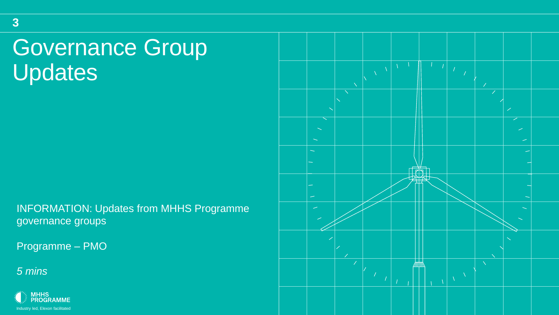# Governance Group Updates

INFORMATION: Updates from MHHS Programme governance groups

Programme – PMO



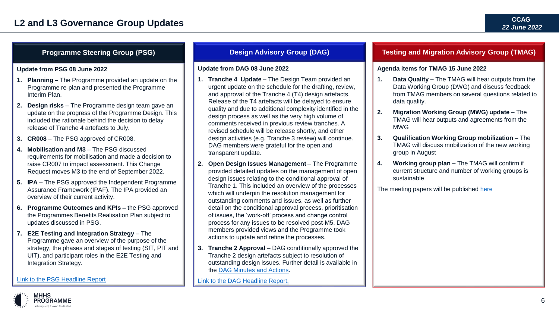#### **L2 and L3 Governance Group Updates**

#### **Update from PSG 08 June 2022**

- **1. Planning –** The Programme provided an update on the Programme re-plan and presented the Programme Interim Plan.
- **2. Design risks**  The Programme design team gave an update on the progress of the Programme Design. This included the rationale behind the decision to delay release of Tranche 4 artefacts to July.
- **3. CR008** The PSG approved of CR008.
- **4. Mobilisation and M3**  The PSG discussed requirements for mobilisation and made a decision to raise CR007 to impact assessment. This Change Request moves M3 to the end of September 2022.
- **5. IPA**  The PSG approved the Independent Programme Assurance Framework (IPAF). The IPA provided an overview of their current activity.
- **6. Programme Outcomes and KPIs –** the PSG approved the Programmes Benefits Realisation Plan subject to updates discussed in PSG.
- **7. E2E Testing and Integration Strategy The** Programme gave an overview of the purpose of the strategy, the phases and stages of testing (SIT, PIT and UIT), and participant roles in the E2E Testing and Integration Strategy.

#### [Link to the PSG Headline Report](https://mhhsprogramme-production-cdn.s3.eu-west-2.amazonaws.com/wp-content/uploads/2022/06/09161911/MHHS-DEL452-Programme-Steering-Group-08-June-2022-Headline-Report-v1.0.pdf)

#### **Update from DAG 08 June 2022**

- **1. Tranche 4 Update**  The Design Team provided an urgent update on the schedule for the drafting, review, and approval of the Tranche 4 (T4) design artefacts. Release of the T4 artefacts will be delayed to ensure quality and due to additional complexity identified in the design process as well as the very high volume of comments received in previous review tranches. A revised schedule will be release shortly, and other design activities (e.g. Tranche 3 review) will continue. DAG members were grateful for the open and transparent update.
- **2. Open Design Issues Management**  The Programme provided detailed updates on the management of open design issues relating to the conditional approval of Tranche 1. This included an overview of the processes which will underpin the resolution management for outstanding comments and issues, as well as further detail on the conditional approval process, prioritisation of issues, the 'work-off' process and change control process for any issues to be resolved post-M5. DAG members provided views and the Programme took actions to update and refine the processes.
- **3. Tranche 2 Approval** DAG conditionally approved the Tranche 2 design artefacts subject to resolution of outstanding design issues. Further detail is available in the [DAG Minutes and Actions.](https://www.mhhsprogramme.co.uk/dag/)

[Link to the DAG Headline Report.](https://mhhsprogramme-production-cdn.s3.eu-west-2.amazonaws.com/wp-content/uploads/2022/06/09155415/DAG-08-June-2022-Headline-Report-and-Attachments.zip)

#### **Programme Steering Group (PSG) Design Advisory Group (DAG) Testing and Migration Advisory Group (TMAG)**

#### **Agenda items for TMAG 15 June 2022**

- **1. Data Quality –** The TMAG will hear outputs from the Data Working Group (DWG) and discuss feedback from TMAG members on several questions related to data quality.
- **2. Migration Working Group (MWG) update**  The TMAG will hear outputs and agreements from the MWG
- **3. Qualification Working Group mobilization –** The TMAG will discuss mobilization of the new working group in August
- **4. Working group plan –** The TMAG will confirm if current structure and number of working groups is sustainable

The meeting papers will be published [here](https://www.mhhsprogramme.co.uk/tmag/)

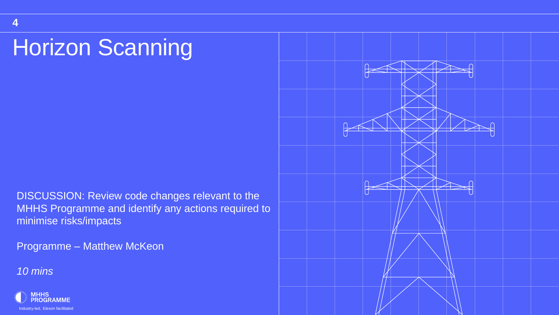# Horizon Scanning

DISCUSSION: Review code changes relevant to the MHHS Programme and identify any actions required to minimise risks/impacts

Programme – Matthew McKeon

*10 mins*

**4**



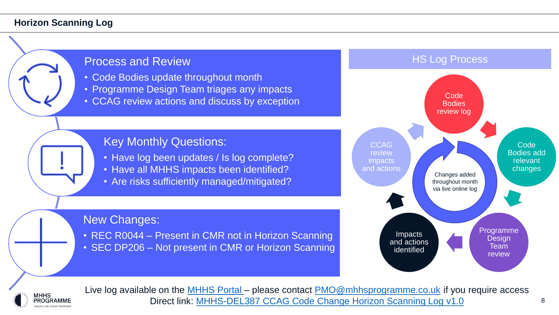#### **Horizon Scanning Log**





Live log available on the [MHHS Portal –](https://mhhsprogramme.sharepoint.com/sites/Market-wideHalfHourlySettlement/Governance/Forms/AllItems.aspx) please contact [PMO@mhhsprogramme.co.uk](mailto:PMO@mhhsprogramme.co.uk) if you require access Direct link: [MHHS-DEL387 CCAG Code Change Horizon Scanning Log v1.0](https://mhhsprogramme.sharepoint.com/:x:/s/Market-wideHalfHourlySettlement/EdB-CGhF1flKs5etoK6TexABa_gUpYXfEMHnsfRGoFMUJA?e=03VoNS)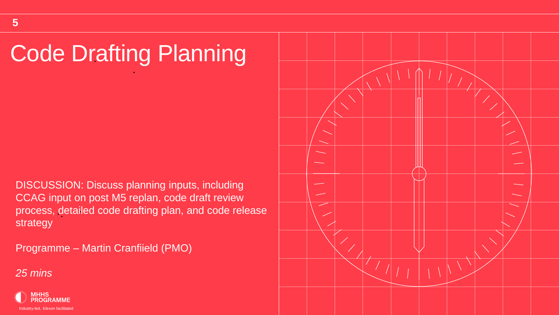# Code Drafting Planning

DISCUSSION: Discuss planning inputs, including CCAG input on post M5 replan, code draft review process, detailed code drafting plan, and code release strategy

Programme – Martin Cranfiield (PMO)



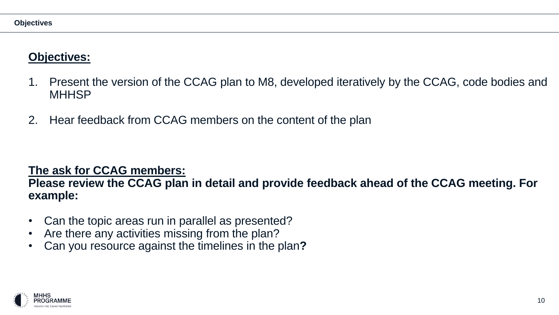# **Objectives:**

- 1. Present the version of the CCAG plan to M8, developed iteratively by the CCAG, code bodies and **MHHSP**
- 2. Hear feedback from CCAG members on the content of the plan

## **The ask for CCAG members:**

### **Please review the CCAG plan in detail and provide feedback ahead of the CCAG meeting. For example:**

- Can the topic areas run in parallel as presented?
- Are there any activities missing from the plan?
- Can you resource against the timelines in the plan**?**

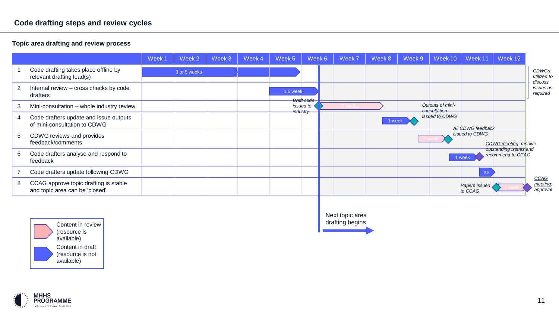#### **Code drafting steps and review cycles**

#### **Topic area drafting and review process**

|   |                                                                         | Week 1 | Week 2       | Week 3 | Week 4 | Week 5   | Week 6                | Week 7 | Week 8 | Week 9 | Week 10                          | Week 11                  | Week 12                                     |                                        |
|---|-------------------------------------------------------------------------|--------|--------------|--------|--------|----------|-----------------------|--------|--------|--------|----------------------------------|--------------------------|---------------------------------------------|----------------------------------------|
|   | Code drafting takes place offline by<br>relevant drafting lead(s)       |        | 3 to 5 weeks |        |        |          |                       |        |        |        |                                  |                          |                                             | <b>CDWGs</b><br>utilized to<br>discuss |
| 2 | Internal review - cross checks by code<br>drafters                      |        |              |        |        | 1.5 week | Draft code            |        |        |        |                                  |                          |                                             | issues as<br>required                  |
| 3 | Mini-consultation - whole industry review                               |        |              |        |        |          | issued to<br>industry |        |        |        | Outputs of mini-<br>consultation |                          |                                             |                                        |
| 4 | Code drafters update and issue outputs<br>of mini-consultation to CDWG  |        |              |        |        |          |                       |        | 1 week |        | issued to CDWG                   | All CDWG feedback        |                                             |                                        |
| 5 | CDWG reviews and provides<br>feedback/comments                          |        |              |        |        |          |                       |        |        |        |                                  | issued to CDWG           | CDWG meeting: resolve                       |                                        |
| 6 | Code drafters analyse and respond to<br>feedback                        |        |              |        |        |          |                       |        |        |        |                                  | 1 week                   | outstanding issues and<br>recommend to CCAG |                                        |
|   | Code drafters update following CDWG                                     |        |              |        |        |          |                       |        |        |        |                                  | 0.5                      |                                             |                                        |
| 8 | CCAG approve topic drafting is stable<br>and topic area can be 'closed' |        |              |        |        |          |                       |        |        |        |                                  | Papers issued<br>to CCAG |                                             | CCAG<br>meeting:<br>approval           |



Next topic area drafting begins

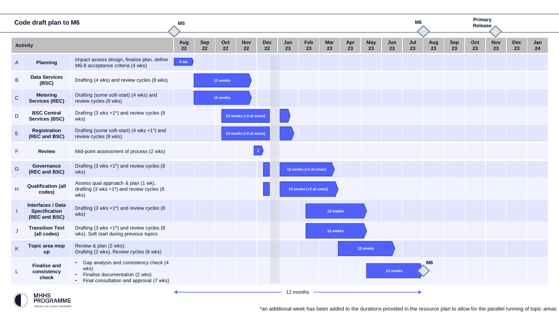|               | Code draft plan to M6                                             |                                                                                                                                  | M <sub>5</sub> |           |           |                       |                  |           |                       |                  |           |           |           | M6        |                |                  | Primary<br>Release |                  |           |           |
|---------------|-------------------------------------------------------------------|----------------------------------------------------------------------------------------------------------------------------------|----------------|-----------|-----------|-----------------------|------------------|-----------|-----------------------|------------------|-----------|-----------|-----------|-----------|----------------|------------------|--------------------|------------------|-----------|-----------|
|               | <b>Activity</b>                                                   |                                                                                                                                  | Aug<br>22      | Sep<br>22 | Oct<br>22 | <b>Nov</b><br>22      | <b>Dec</b><br>22 | Jan<br>23 | Feb<br>23             | <b>Mar</b><br>23 | Apr<br>23 | May<br>23 | Jun<br>23 | Jul<br>23 | Aug<br>23      | <b>Sep</b><br>23 | Oct<br>23          | <b>Nov</b><br>23 | Dec<br>23 | Jan<br>24 |
| $\mathsf{A}$  | <b>Planning</b>                                                   | Impact assess design, finalise plan, define<br>M6-8 acceptance criteria (4 wks)                                                  | $4$ wk         |           |           |                       |                  |           |                       |                  |           |           |           |           |                |                  |                    |                  |           |           |
| $\sf B$       | <b>Data Services</b><br>(BSC)                                     | Drafting (4 wks) and review cycles (8 wks)                                                                                       |                |           | 12 weeks  |                       |                  |           |                       |                  |           |           |           |           |                |                  |                    |                  |           |           |
| $\mathsf C$   | <b>Metering</b><br><b>Services (REC)</b>                          | Drafting (some soft-start) (4 wks) and<br>review cycles (8 wks)                                                                  |                |           | 12 weeks  |                       |                  |           |                       |                  |           |           |           |           |                |                  |                    |                  |           |           |
| D             | <b>BSC Central</b><br><b>Services (BSC)</b>                       | Drafting (3 wks +1*) and review cycles (8<br>wks)                                                                                |                |           |           | 12 weeks (+2 at xmas) |                  |           |                       |                  |           |           |           |           |                |                  |                    |                  |           |           |
| $\mathsf E$   | Registration<br>(REC and BSC)                                     | Drafting (some soft-start) (4 wks +1*) and<br>review cycles (8 wks)                                                              |                |           |           | 13 weeks (+2 at xmas) |                  |           |                       |                  |           |           |           |           |                |                  |                    |                  |           |           |
| F             | <b>Review</b>                                                     | Mid-point assessment of process (2 wks)                                                                                          |                |           |           |                       | $\vert 2 \vert$  |           |                       |                  |           |           |           |           |                |                  |                    |                  |           |           |
| ${\mathsf G}$ | Governance<br>(REC and BSC)                                       | Drafting $(3 \text{ wks} + 1^*)$ and review cycles $(8 \text{ m})$<br>wks)                                                       |                |           |           |                       |                  |           | 12 weeks (+2 at xmas) |                  |           |           |           |           |                |                  |                    |                  |           |           |
| Η             | <b>Qualification (all</b><br>codes)                               | Assess qual approach & plan (1 wk),<br>drafting $(3 \text{ wks} + 1^*)$ and review cycles $(8 \text{ m})$<br>wks)                |                |           |           |                       |                  |           | 13 weeks (+2 at xmas) |                  |           |           |           |           |                |                  |                    |                  |           |           |
|               | <b>Interfaces / Data</b><br><b>Specification</b><br>(REC and BSC) | Drafting $(3 \text{ wks} + 1^*)$ and review cycles $(8 \text{ m})$<br>wks)                                                       |                |           |           |                       |                  |           |                       | 12 weeks         |           |           |           |           |                |                  |                    |                  |           |           |
|               | <b>Transition Text</b><br>(all codes)                             | Drafting (3 wks +1*) and review cycles (8<br>wks). Soft start during previous topics                                             |                |           |           |                       |                  |           |                       | 12 weeks         |           |           |           |           |                |                  |                    |                  |           |           |
| Κ             | Topic area mop<br>up                                              | Review & plan (2 wks).<br>Drafting (2 wks). Review cycles (8 wks)                                                                |                |           |           |                       |                  |           |                       |                  |           | 12 weeks  |           |           |                |                  |                    |                  |           |           |
| L             | <b>Finalise and</b><br>consistency<br>check                       | • Gap analysis and consistency check (4<br>wks)<br>• Finalise documentation (2 wks)<br>• Final consultation and approval (7 wks) |                |           |           |                       |                  |           |                       |                  |           |           | 12 weeks  |           | M <sub>6</sub> |                  |                    |                  |           |           |
|               | ر/ الله<br><b>MHHS</b>                                            |                                                                                                                                  |                |           |           |                       |                  |           | 12 months             |                  |           |           |           |           |                |                  |                    |                  |           |           |



\*an additional week has been added to the durations provided in the resource plan to allow for the parallel running of topic areas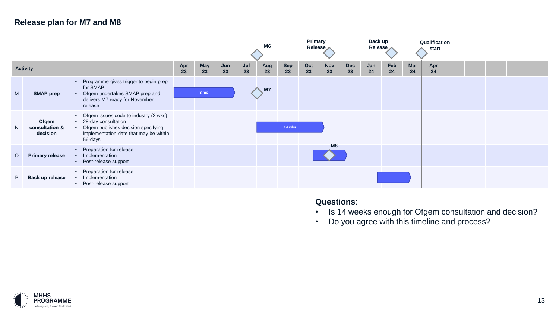### **Release plan for M7 and M8**

|         |                                     |                                                                                                                                                                                    |           |                  |           |           | M6        |                  | <b>Primary</b><br>Release |                  |                  | Back up<br>Release |           |                  | Qualification<br>start |  |  |  |
|---------|-------------------------------------|------------------------------------------------------------------------------------------------------------------------------------------------------------------------------------|-----------|------------------|-----------|-----------|-----------|------------------|---------------------------|------------------|------------------|--------------------|-----------|------------------|------------------------|--|--|--|
|         | <b>Activity</b>                     |                                                                                                                                                                                    | Apr<br>23 | <b>May</b><br>23 | Jun<br>23 | Jul<br>23 | Aug<br>23 | <b>Sep</b><br>23 | Oct<br>23                 | <b>Nov</b><br>23 | <b>Dec</b><br>23 | Jan<br>24          | Feb<br>24 | <b>Mar</b><br>24 | Apr<br>24              |  |  |  |
| M       | <b>SMAP prep</b>                    | Programme gives trigger to begin prep<br>for SMAP<br>Ofgem undertakes SMAP prep and<br>$\bullet$<br>delivers M7 ready for November<br>release                                      |           | $3 \text{ mo}$   |           |           | M7        |                  |                           |                  |                  |                    |           |                  |                        |  |  |  |
| N.      | Ofgem<br>consultation &<br>decision | Ofgem issues code to industry (2 wks)<br>$\bullet$<br>28-day consultation<br>$\bullet$<br>Ofgem publishes decision specifying<br>implementation date that may be within<br>56-days |           |                  |           |           |           | 14 wks           |                           |                  |                  |                    |           |                  |                        |  |  |  |
| $\circ$ | <b>Primary release</b>              | Preparation for release<br>$\bullet$<br>Implementation<br>• Post-release support                                                                                                   |           |                  |           |           |           |                  |                           | M8               |                  |                    |           |                  |                        |  |  |  |
| P.      | Back up release                     | Preparation for release<br>$\bullet$<br>Implementation<br>Post-release support                                                                                                     |           |                  |           |           |           |                  |                           |                  |                  |                    |           |                  |                        |  |  |  |

**Questions**:

- Is 14 weeks enough for Ofgem consultation and decision?
- Do you agree with this timeline and process?

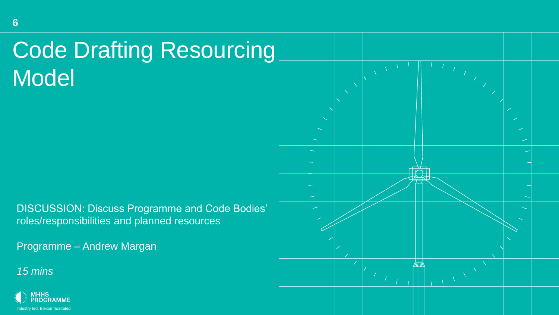# Code Drafting Resourcing Model

DISCUSSION: Discuss Programme and Code Bodies' roles/responsibilities and planned resources

Programme – Andrew Margan



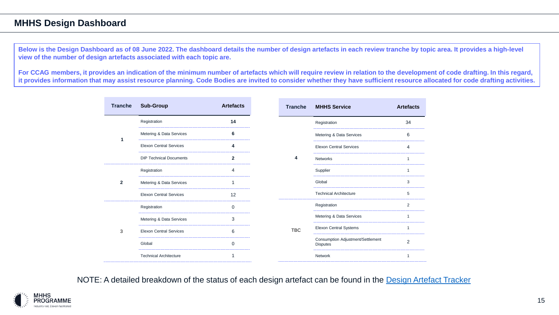#### **MHHS Design Dashboard**

**Below is the Design Dashboard as of 08 June 2022. The dashboard details the number of design artefacts in each review tranche by topic area. It provides a high-level view of the number of design artefacts associated with each topic are.**

**For CCAG members, it provides an indication of the minimum number of artefacts which will require review in relation to the development of code drafting. In this regard, it provides information that may assist resource planning. Code Bodies are invited to consider whether they have sufficient resource allocated for code drafting activities.**

| <b>Tranche</b> | <b>Sub-Group</b>               | <b>Artefacts</b> | <b>Tranche</b> | <b>MHHS Service</b>                                  | <b>Artefacts</b> |
|----------------|--------------------------------|------------------|----------------|------------------------------------------------------|------------------|
|                | Registration                   | 14               |                | Registration                                         | 34               |
|                | Metering & Data Services       | 6                |                | Metering & Data Services                             | 6                |
|                | <b>Elexon Central Services</b> | 4                |                | <b>Elexon Central Services</b>                       | $\overline{4}$   |
|                | <b>DIP Technical Documents</b> | $\overline{2}$   | 4              | <b>Networks</b>                                      | 1                |
|                | Registration                   | 4                |                | Supplier                                             | $\overline{1}$   |
| $\mathbf{2}$   | Metering & Data Services       | 1                |                | Global                                               | 3                |
|                | <b>Elexon Central Services</b> | 12               |                | <b>Technical Architecture</b>                        | 5                |
|                | Registration                   | 0                |                | Registration                                         | 2                |
|                | Metering & Data Services       | 3                |                | Metering & Data Services                             | 1                |
| 3              | <b>Elexon Central Services</b> | 6                | <b>TBC</b>     | Elexon Central Systems                               | 1                |
|                | Global                         | $\mathbf 0$      |                | Consumption Adjustment/Settlement<br><b>Disputes</b> | $\overline{2}$   |
|                | <b>Technical Architecture</b>  | 1                |                | Network                                              | 1                |

NOTE: A detailed breakdown of the status of each design artefact can be found in the [Design Artefact Tracker](https://mhhsprogramme.sharepoint.com/:x:/s/Market-wideHalfHourlySettlement/ERGk8L2TaCRGoU8kThl19RsB3QbABmw2bXzHaqYWFwH1lQ?e=kGmoss)

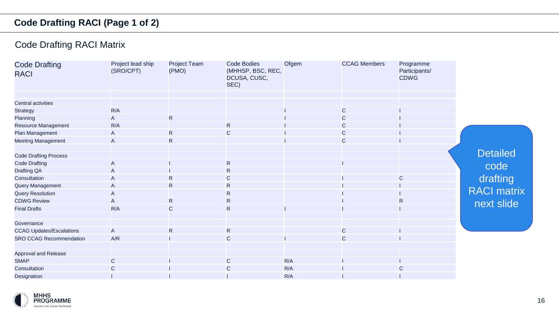### **Code Drafting RACI (Page 1 of 2)**

### Code Drafting RACI Matrix

| <b>Code Drafting</b><br><b>RACI</b> | Project lead ship<br>(SRO/CPT) | Project Team<br>(PMO) | <b>Code Bodies</b><br>(MHHSP, BSC, REC,<br>DCUSA, CUSC,<br>SEC) | Ofgem | <b>CCAG Members</b> | Programme<br>Participants/<br><b>CDWG</b> |                    |
|-------------------------------------|--------------------------------|-----------------------|-----------------------------------------------------------------|-------|---------------------|-------------------------------------------|--------------------|
| <b>Central activities</b>           |                                |                       |                                                                 |       |                     |                                           |                    |
| <b>Strategy</b>                     | R/A                            |                       |                                                                 |       | $\mathsf{C}$        |                                           |                    |
| Planning                            | $\mathsf{A}$                   | R                     |                                                                 |       | $\mathsf{C}$        |                                           |                    |
| Resource Management                 | R/A                            |                       | $\mathsf{R}$                                                    |       | $\mathsf{C}$        |                                           |                    |
| Plan Management                     | $\mathsf{A}$                   | R                     | $\mathsf C$                                                     |       | $\mathsf{C}$        |                                           |                    |
|                                     |                                |                       |                                                                 |       |                     |                                           |                    |
| <b>Meeting Management</b>           | A                              | $\mathsf{R}$          |                                                                 |       | $\mathsf{C}$        |                                           |                    |
| <b>Code Drafting Process</b>        |                                |                       |                                                                 |       |                     |                                           | <b>Detailed</b>    |
| <b>Code Drafting</b>                | $\mathsf{A}$                   |                       | $\mathsf{R}$                                                    |       |                     |                                           |                    |
| Drafting QA                         | $\mathsf{A}$                   |                       | R                                                               |       |                     |                                           | code               |
| Consultation                        | $\mathsf{A}$                   | $\mathsf{R}$          | C                                                               |       |                     | C                                         | drafting           |
| Query Management                    | A                              | $\mathsf{R}$          | R                                                               |       |                     |                                           |                    |
| <b>Query Resolution</b>             | A                              |                       | R                                                               |       |                     |                                           | <b>RACI matrix</b> |
| <b>CDWG Review</b>                  | $\mathsf{A}$                   | R                     | ${\sf R}$                                                       |       |                     | R                                         |                    |
| <b>Final Drafts</b>                 | R/A                            | $\mathsf{C}$          | $\mathsf{R}$                                                    |       |                     |                                           | next slide         |
|                                     |                                |                       |                                                                 |       |                     |                                           |                    |
| Governance                          |                                |                       |                                                                 |       |                     |                                           |                    |
| <b>CCAG Updates/Escalations</b>     | $\overline{A}$                 | R                     | $\mathsf{R}$                                                    |       | $\mathsf{C}$        |                                           |                    |
| <b>SRO CCAG Recommendation</b>      | A/R                            |                       | $\mathsf C$                                                     |       | $\mathsf{C}$        |                                           |                    |
| Approval and Release                |                                |                       |                                                                 |       |                     |                                           |                    |
| <b>SMAP</b>                         | $\mathsf{C}$                   |                       | $\mathsf{C}$                                                    | R/A   |                     |                                           |                    |
| Consultation                        | $\mathsf{C}$                   |                       | С                                                               | R/A   |                     | С                                         |                    |
| Designation                         |                                |                       |                                                                 | R/A   |                     |                                           |                    |

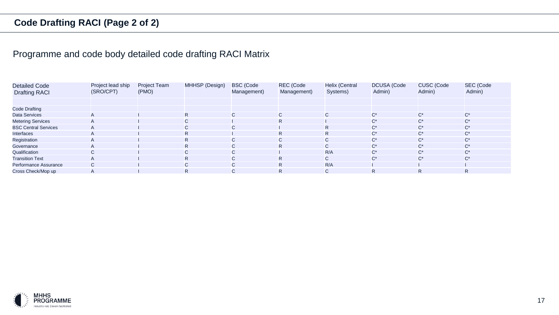### **Code Drafting RACI (Page 2 of 2)**

### Programme and code body detailed code drafting RACI Matrix

| <b>Detailed Code</b><br><b>Drafting RACI</b> | Project lead ship<br>(SRO/CPT) | <b>Project Team</b><br>(PMO) | MHHSP (Design) | <b>BSC</b> (Code<br>Management) | REC (Code<br>Management) | <b>Helix (Central</b><br>Systems) | <b>DCUSA</b> (Code<br>Admin) | <b>CUSC</b> (Code<br>Admin) | SEC (Code<br>Admin) |
|----------------------------------------------|--------------------------------|------------------------------|----------------|---------------------------------|--------------------------|-----------------------------------|------------------------------|-----------------------------|---------------------|
|                                              |                                |                              |                |                                 |                          |                                   |                              |                             |                     |
| <b>Code Drafting</b>                         |                                |                              |                |                                 |                          |                                   |                              |                             |                     |
| <b>Data Services</b>                         |                                |                              | R.             | $\mathsf{C}$                    | $\mathsf{C}$             | $\mathbf{C}$                      | $C^*$                        | $C^*$                       | $C^*$               |
| <b>Metering Services</b>                     |                                |                              | C.             |                                 | R.                       |                                   | $C^*$                        | $C^*$                       | $C^*$               |
| <b>BSC Central Services</b>                  |                                |                              | $\mathsf{C}$   | $\mathsf{C}$                    |                          | R.                                | $C^*$                        | $C^*$                       | $C^*$               |
| Interfaces                                   |                                |                              | R.             |                                 | R.                       | R.                                | $C^*$                        | $C^*$                       | $C^*$               |
| Registration                                 |                                |                              | R.             | $\mathsf{C}$                    | $\mathsf{C}$             | $\mathsf{C}$                      | $C^*$                        | $C^*$                       | $C^*$               |
| Governance                                   |                                |                              | R.             | C.                              | R.                       | C.                                | $C^*$                        | $C^*$                       | $C^*$               |
| Qualification                                | $\sim$                         |                              | $\mathsf{C}$   | $\mathsf{C}$                    |                          | R/A                               | $C^*$                        | $C^*$                       | $C^*$               |
| <b>Transition Text</b>                       |                                |                              | R.             | $\mathsf{C}$                    | $\mathsf{R}$             | $\mathsf{C}$                      | $C^*$                        | $C^*$                       | $C^*$               |
| Performance Assurance                        | $\sim$<br>◡                    |                              | $\sim$<br>U    | $\mathsf{C}$                    | R.                       | R/A                               |                              |                             |                     |
| Cross Check/Mop up                           |                                |                              | R              | $\mathsf{C}$                    | R                        | $\mathbf{C}$                      | R.                           | R.                          | R.                  |

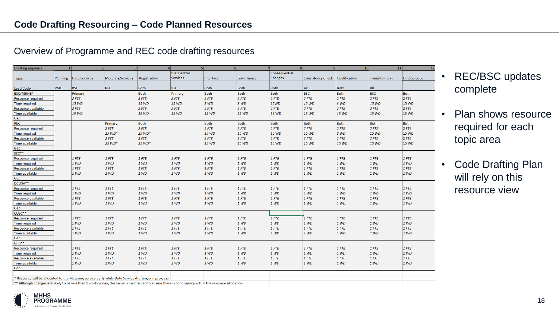| <b>Drafting sequence</b>                                                                                                                             | $\mathbf{1}$ | $\overline{2}$           |                          | 3 <sup>1</sup> | 5 <sup>1</sup>     |             | 6 <sup>1</sup> | 8 <br>7 <sup>1</sup> |                                 | 10<br>9 <sup>1</sup> | 11                     |               |
|------------------------------------------------------------------------------------------------------------------------------------------------------|--------------|--------------------------|--------------------------|----------------|--------------------|-------------|----------------|----------------------|---------------------------------|----------------------|------------------------|---------------|
|                                                                                                                                                      |              |                          |                          |                | <b>BSC Central</b> |             |                | Consequential        |                                 |                      |                        |               |
| <b>Topic</b>                                                                                                                                         |              | Planning   Data Services | <b>Metering Services</b> | Registration   | <b>Services</b>    | Interface   | Governance     | Changes              | Consistency Check Qualification |                      | <b>Tranisiton text</b> | Finalise code |
|                                                                                                                                                      |              |                          |                          |                |                    |             |                |                      |                                 |                      |                        |               |
| <b>Lead Code</b>                                                                                                                                     | <b>PMO</b>   | <b>BSC</b>               | <b>REC</b>               | <b>Both</b>    | <b>BSC</b>         | <b>Both</b> | Both           | Both                 | All                             | <b>Both</b>          | All                    |               |
| <b>BSC/MHHSP</b>                                                                                                                                     |              | Primary                  |                          | <b>Both</b>    | Primary            | <b>Both</b> | <b>Both</b>    | <b>Both</b>          | <b>BSC</b>                      | <b>Both</b>          | <b>BSC</b>             | <b>Both</b>   |
| <b>Resource required</b>                                                                                                                             |              | $2$ FTE                  |                          | $2$ FTE        | 2 FTE              | $2$ FTE     | $2$ FTE        | 2 FTE                | 2 FTE                           | 2 FTE                | $2$ FTE                | 2 FTE         |
| <b>Time required</b>                                                                                                                                 |              | 15 WD                    |                          | 15 WD          | 15 WD              | 8 WD        | 8 WD           | <b>15WD</b>          | 15 WD                           | 8 WD                 | 15 WD                  | <b>15 WD</b>  |
| Resource available                                                                                                                                   |              | $2$ FTE                  |                          | $2$ FTE        | $2$ FTE            | $2$ FTE     | 2 FTE          | 2 FTE                | 2 FTE                           | 2 FTE                | $2$ FTE                | $2$ FTE       |
| Time available                                                                                                                                       |              | 15 WD                    |                          | 15 WD          | 15 WD              | 15 WD       | 15 WD          | <b>15 WD</b>         | 15 WD                           | 15 WD                | 15 WD                  | <b>15 WD</b>  |
| Gap                                                                                                                                                  |              |                          |                          |                |                    |             |                |                      |                                 |                      |                        |               |
| REC                                                                                                                                                  |              |                          | Primary                  | <b>Both</b>    |                    | Both        | <b>Both</b>    | Both                 | <b>Both</b>                     | <b>Both</b>          | Both                   | <b>Both</b>   |
| <b>Resource required</b>                                                                                                                             |              |                          | $2$ FTE                  | $2$ FTE        |                    | $2$ FTE     | $2$ FTE        | 2 FTE                | $2$ FTE                         | 2 FTE                | $2$ FTE                | 2 FTE         |
| <b>Time required</b>                                                                                                                                 |              |                          | 25 WD*                   | 25 WD*         |                    | 15 WD       | 15 WD          | <b>15 WD</b>         | <b>15 WD</b>                    | 8 WD                 | <b>15 WD</b>           | <b>15 WD</b>  |
| Resource available                                                                                                                                   |              |                          | $2$ FTE                  | $2$ FTE        |                    | $2$ FTE     | $2$ FTE        | 2 FTE                | $2$ FTE                         | 2 FTE                | $2$ FTE                | $2$ FTE       |
| Time available                                                                                                                                       |              |                          | 25 WD*                   | 25 WD*         |                    | 15 WD       | 15 WD          | <b>15 WD</b>         | <b>15 WD</b>                    | <b>15 WD</b>         | 15 WD                  | 15 WD         |
| Gap                                                                                                                                                  |              |                          |                          |                |                    |             |                |                      |                                 |                      |                        |               |
| SEC**                                                                                                                                                |              |                          |                          |                |                    |             |                |                      |                                 |                      |                        |               |
| Resource required                                                                                                                                    |              | $1$ FTE                  | 1 FTE                    | $1$ FTE        | $1$ FTE            | $1$ FTE     | $1$ FTE        | $1$ FTE              | $1$ FTE                         | $1$ FTE              | $1$ FTE                | $1$ FTE       |
| <b>Time required</b>                                                                                                                                 |              | 1 WD                     | 1 WD                     | 1 WD           | 1 WD               | 1 WD        | 1 WD           | 1 WD                 | 1 WD                            | 1 WD                 | 1 WD                   | 1 WD          |
| Resource available                                                                                                                                   |              | 1 FTE                    | 1 FTE                    | 1 FTE          | 1 FTE              | 1 FTE       | 1 FTE          | 1 FTE                | 1 FTE                           | 1 FTE                | 1 FTE                  | 1 FTE         |
| Time available                                                                                                                                       |              | 1 WD                     | 1 WD                     | 1 WD           | 1 WD               | 1 WD        | 1 WD           | 1 WD                 | 1 WD                            | 1 WD                 | 1 WD                   | 1 WD          |
| Gap                                                                                                                                                  |              |                          |                          |                |                    |             |                |                      |                                 |                      |                        |               |
| DCUSA**                                                                                                                                              |              |                          |                          |                |                    |             |                |                      |                                 |                      |                        |               |
| Resource required                                                                                                                                    |              | 1 FTE                    | 1 FTE                    | $1$ FTE        | 1 FTE              | 1 FTE       | 1 FTE          | 1 FTE                | 1 FTE                           | $1$ FTE              | $1$ FTE                | $1$ FTE       |
| <b>Time required</b>                                                                                                                                 |              | 1 WD                     | 1 WD                     | 1 WD           | 1 WD               | 1 WD        | 1 WD           | 1 WD                 | 1 WD                            | 1 WD                 | 1 WD                   | 1 WD          |
| Resource available                                                                                                                                   |              | $1$ FTE                  | $1$ FTE                  | $1$ FTE        | $1$ FTE            | $1$ FTE     | $1$ FTE        | $1$ FTE              | 1 FTE                           | $1$ FTE              | $1$ FTE                | $1$ FTE       |
| <b>Time available</b>                                                                                                                                |              | 1 WD                     | 1 WD                     | 1 WD           | 1 WD               | 1 WD        | 1 WD           | 1 WD                 | 1 WD                            | 1 WD                 | 1 WD                   | 1 WD          |
| Gap                                                                                                                                                  |              |                          |                          |                |                    |             |                |                      |                                 |                      |                        |               |
| CUSC**                                                                                                                                               |              |                          |                          |                |                    |             |                |                      |                                 |                      |                        |               |
| <b>Resource required</b>                                                                                                                             |              | 1 FTE                    | $1$ FTE                  | $1$ FTE        | $1$ FTE            | $1$ FTE     | 1 FTE          | $1$ FTE              | 1 FTE                           | 1 FTE                | $1$ FTE                | 1 FTE         |
| <b>Time required</b>                                                                                                                                 |              | 1 WD                     | 1 WD                     | 1 WD           | 1 WD               | 1 WD        | 1 WD           | 1 WD                 | 1 WD                            | 1 WD                 | 1 WD                   | 1 WD          |
| Resource available                                                                                                                                   |              | 1 FTE                    | 1 FTE                    | 1 FTE          | 1 FTE              | 1 FTE       | $1$ $FTE$      | 1 FTE                | 1 FTE                           | 1 FTE                | 1 FTE                  | 1 FTE         |
| Time available                                                                                                                                       |              | 1 WD                     | 1 WD                     | 1 WD           | 1 WD               | 1 WD        | 1 WD           | 1 WD                 | 1 WD                            | 1 WD                 | 1 WD                   | 1 WD          |
| Gap                                                                                                                                                  |              |                          |                          |                |                    |             |                |                      |                                 |                      |                        |               |
| Grid**                                                                                                                                               |              |                          |                          |                |                    |             |                |                      |                                 |                      |                        |               |
| <b>Resource required</b>                                                                                                                             |              | 1 FTE                    | $1$ FTE                  | $1$ FTE        | $1$ FTE            | $1$ FTE     | $1$ FTE        | $1$ FTE              | 1 FTE                           | 1 FTE                | 1 FTE                  | 1 FTE         |
| <b>Time required</b>                                                                                                                                 |              | 1 WD                     | 1 WD                     | 1 WD           | 1 WD               | 1 WD        | 1 WD           | 1 WD                 | 1 WD                            | 1 WD                 | 1 WD                   | 1 WD          |
| Resource available                                                                                                                                   |              | $1$ FTE                  | $1$ FTE                  | $1$ FTE        | $1$ FTE            | 1 FTE       | $1$ FTE        | 1 FTE                | $1$ FTE                         | 1 FTE                | 1 FTE                  | $1$ FTE       |
| Time available                                                                                                                                       |              | 1 WD                     | 1 WD                     | 1 WD           | 1 WD               | 1 WD        | 1 WD           | 1 WD                 | 1 WD                            | 1 WD                 | 1 WD                   | 1 WD          |
| Gap                                                                                                                                                  |              |                          |                          |                |                    |             |                |                      |                                 |                      |                        |               |
|                                                                                                                                                      |              |                          |                          |                |                    |             |                |                      |                                 |                      |                        |               |
| * Resource will be allocated to the Metering Service early while Data Service drafting is in progress                                                |              |                          |                          |                |                    |             |                |                      |                                 |                      |                        |               |
| ** Although changes are likely to be less than 1 working day, this value is maintained to ensure there is contingency within the resource allocation |              |                          |                          |                |                    |             |                |                      |                                 |                      |                        |               |

- REC/BSC updates complete
- Plan shows resource required for each topic area
- Code Drafting Plan will rely on this resource view

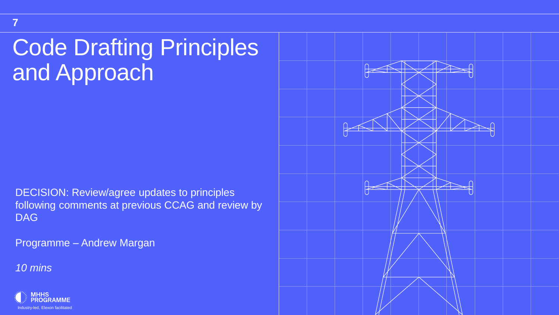# Code Drafting Principles and Approach

DECISION: Review/agree updates to principles following comments at previous CCAG and review by DAG

Programme – Andrew Margan



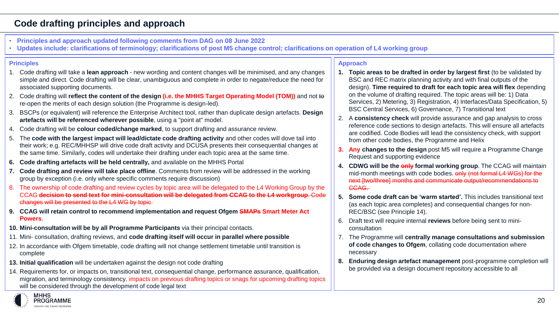#### **Code drafting principles and approach**

- **Principles and approach updated following comments from DAG on 08 June 2022**
- **Updates include: clarifications of terminology; clarifications of post M5 change control; clarifications on operation of L4 working group**

#### **Principles**

- 1. Code drafting will take a **lean approach**  new wording and content changes will be minimised, and any changes simple and direct. Code drafting will be clear, unambiguous and complete in order to negate/reduce the need for associated supporting documents.
- 2. Code drafting will **reflect the content of the design (i.e. the MHHS Target Operating Model (TOM))** and not to re-open the merits of each design solution (the Programme is design-led).
- 3. BSCPs (or equivalent) will reference the Enterprise Architect tool, rather than duplicate design artefacts. **Design artefacts will be referenced wherever possible**, using a "point at" model.
- 4. Code drafting will be **colour coded/change marked**, to support drafting and assurance review.
- 5. The **code with the largest impact will lead/dictate code drafting activity** and other codes will dove tail into their work; e.g. REC/MHHSP will drive code draft activity and DCUSA presents their consequential changes at the same time. Similarly, codes will undertake their drafting under each topic area at the same time.
- **6. Code drafting artefacts will be held centrally,** and available on the MHHS Portal
- **7. Code drafting and review will take place offline**. Comments from review will be addressed in the working group by exception (i.e. only where specific comments require discussion)
- 8. The ownership of code drafting and review cycles by topic area will be delegated to the L4 Working Group by the CCAG **decision to send text for mini-consultation will be delegated from CCAG to the L4 workgroup**. Code changes will be presented to the L4 WG by topic
- **9. CCAG will retain control to recommend implementation and request Ofgem SMAPs Smart Meter Act Powers**.
- **10. Mini-consultation will be by all Programme Participants** via their principal contacts.
- 11. Mini- consultation, drafting reviews, and **code drafting itself will occur in parallel where possible**
- 12. In accordance with Ofgem timetable, code drafting will not change settlement timetable until transition is complete
- **13. Initial qualification** will be undertaken against the design not code drafting
- 14. Requirements for, or impacts on, transitional text, consequential change, performance assurance, qualification, migration, and terminology consistency, impacts on previous drafting topics or snags for upcoming drafting topics will be considered through the development of code legal text

#### **MHHS PROGRAMME**

#### **Approach**

- **1. Topic areas to be drafted in order by largest first** (to be validated by BSC and REC matrix planning activity and with final outputs of the design). **Time required to draft for each topic area will flex** depending on the volume of drafting required. The topic areas will be: 1) Data Services, 2) Metering, 3) Registration, 4) Interfaces/Data Specification, 5) BSC Central Services, 6) Governance, 7) Transitional text
- 2. A **consistency check** will provide assurance and gap analysis to cross reference code sections to design artefacts. This will ensure all artefacts are codified. Code Bodies will lead the consistency check, with support from other code bodies, the Programme and Helix
- **3. Any changes to the design** post M5 will require a Programme Change Request and supporting evidence
- **4. CDWG will be the only formal working group**. The CCAG will maintain mid-month meetings with code bodies. only (not formal L4 WGs) for the next [two/three] months and communicate output/recommendations to CCAG.
- **5. Some code draft can be 'warm started'.** This includes transitional text (as each topic area completes) and consequential changes for non-REC/BSC (see Principle 14).
- 6. Draft text will require internal **reviews** before being sent to miniconsultation
- 7. The Programme will **centrally manage consultations and submission of code changes to Ofgem**, collating code documentation where necessary
- **8. Enduring design artefact management** post-programme completion will be provided via a design document repository accessible to all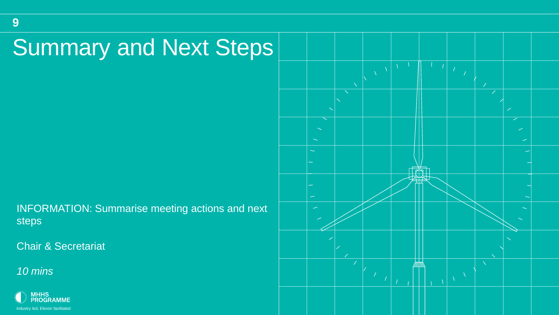# Summary and Next Steps

INFORMATION: Summarise meeting actions and next steps

**Chair & Secretariat** 

*10 mins*

**9**